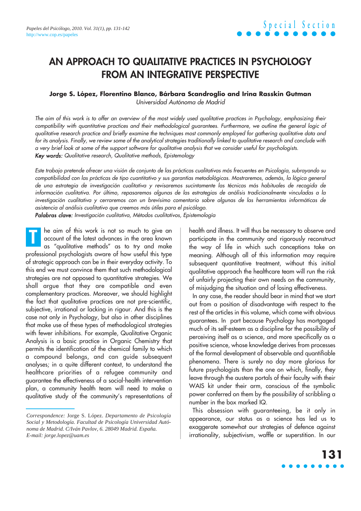## **AN APPROACH TO QUALITATIVE PRACTICES IN PSYCHOLOGY FROM AN INTEGRATIVE PERSPECTIVE**

**Jorge S. López, Florentino Blanco, Bárbara Scandroglio and Irina Rasskin Gutman** Universidad Autónoma de Madrid

The aim of this work is to offer an overview of the most widely used qualitative practices in Psychology, emphasizing their compatibility with quantitative practices and their methodological guarantees. Furthermore, we outline the general logic of qualitative research practice and briefly examine the techniques most commonly employed for gathering qualitative data and for its analysis. Finally, we review some of the analytical strategies traditionally linked to qualitative research and conclude with a very brief look at some of the support software for qualitative analysis that we consider useful for psychologists. Key words: Qualitative research, Qualitative methods, Epistemology

Este trabajo pretende ofrecer una visión de conjunto de las prácticas cualitativas más frecuentes en Psicología, subrayando su compatibilidad con las prácticas de tipo cuantitativo y sus garantías metodológicas. Mostraremos, además, la lógica general de una estrategia de investigación cualitativa y revisaremos sucintamente las técnicas más habituales de recogida de información cualitativa. Por último, repasaremos algunas de las estrategias de análisis tradicionalmente vinculadas a la investigación cualitativa y cerraremos con un brevísimo comentario sobre algunas de las herramientas informáticas de asistencia al análisis cualitativo que creemos más útiles para el psicólogo.

Palabras clave: Investigación cualitativa, Métodos cualitativos, Epistemología

he aim of this work is not so much to give an account of the latest advances in the area known as "qualitative methods" as to try and make professional psychologists aware of how useful this type of strategic approach can be in their everyday activity. To this end we must convince them that such methodological strategies are not opposed to quantitative strategies. We shall argue that they are compatible and even complementary practices. Moreover, we should highlight the fact that qualitative practices are not pre-scientific, subjective, irrational or lacking in rigour. And this is the case not only in Psychology, but also in other disciplines that make use of these types of methodological strategies with fewer inhibitions. For example, Qualitative Organic Analysis is a basic practice in Organic Chemistry that permits the identification of the chemical family to which a compound belongs, and can guide subsequent analyses; in a quite different context, to understand the healthcare priorities of a refugee community and guarantee the effectiveness of a social-health intervention plan, a community health team will need to make a qualitative study of the community's representations of **T**

health and illness. It will thus be necessary to observe and participate in the community and rigorously reconstruct the way of life in which such conceptions take on meaning. Although all of this information may require subsequent quantitative treatment, without this initial qualitative approach the healthcare team will run the risk of unfairly projecting their own needs on the community, of misjudging the situation and of losing effectiveness.

In any case, the reader should bear in mind that we start out from a position of disadvantage with respect to the rest of the articles in this volume, which come with obvious guarantees. In part because Psychology has mortgaged much of its self-esteem as a discipline for the possibility of perceiving itself as a science, and more specifically as a positive science, whose knowledge derives from processes of the formal development of observable and quantifiable phenomena. There is surely no day more glorious for future psychologists than the one on which, finally, they leave through the austere portals of their faculty with their WAIS kit under their arm, conscious of the symbolic power conferred on them by the possibility of scribbling a number in the box marked IQ.

This obsession with guaranteeing, be it only in appearance, our status as a science has led us to exaggerate somewhat our strategies of defence against irrationality, subjectivism, waffle or superstition. In our

# **131**

*Correspondence:* Jorge S. López. *Departamento de Psicología Social y Metodología. Facultad de Psicología Universidad Autónoma de Madrid. C/Iván Pavlov, 6. 28049 Madrid. España. E-mail: jorge.lopez@uam.es*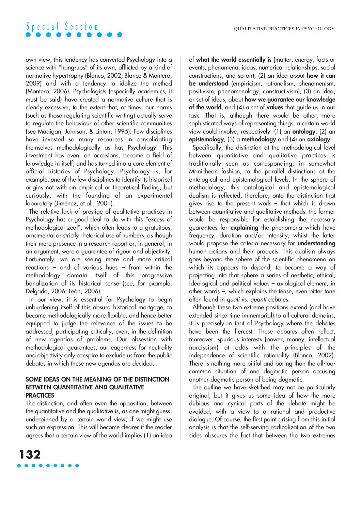own view, this tendency has converted Psychology into a science with "hang-ups" of its own, afflicted by a kind of normative hypertrophy (Blanco, 2002; Blanco & Montero, 2009) and with a tendency to idolize the method (Montero, 2006). Psychologists (especially academics, it must be said) have created a normative culture that is clearly excessive, to the extent that, at times, our norms (such as those regulating scientific writing) actually serve to regulate the behaviour of other scientific communities (see Madigan, Johnson, & Linton, 1995). Few disciplines have invested so many resources in consolidating themselves methodologically as has Psychology. This investment has even, on occasions, become a field of knowledge in itself, and has turned into a core element of official histories of Psychology: Psychology is, for example, one of the few disciplines to identify its historical origins not with an empirical or theoretical finding, but curiously, with the founding of an experimental laboratory (Jiménez, et al., 2001).

The relative lack of prestige of qualitative practices in Psychology has a good deal to do with this "excess of methodological zeal", which often leads to a gratuitous, ornamental or strictly rhetorical use of numbers, as though their mere presence in a research report or, in general, in an argument, were a guarantee of rigour and objectivity. Fortunately, we are seeing more and more critical reactions – and of various hues – from within the methodology domain itself of this progressive banalization of its historical sense (see, for example, Delgado, 2006; León, 2006).

In our view, it is essential for Psychology to begin unburdening itself of this absurd historical mortgage, to become methodologically more flexible, and hence better equipped to judge the relevance of the issues to be addressed, participating critically, even, in the definition of new agendas of problems. Our obsession with methodological guarantees, our eagerness for neutrality and objectivity only conspire to exclude us from the public debates in which these new agendas are decided.

#### **SOME IDEAS ON THE MEANING OF THE DISTINCTION BETWEEN QUANTITATIVE AND QUALITATIVE PRACTICES**

The distinction, and often even the opposition, between the quantitative and the qualitative is, as one might guess, underpinned by a certain world view, if we might use such an expression. This will become clearer if the reader agrees that a certain view of the world implies (1) an idea of **what the world essentially is** (matter, energy, facts or events, phenomena, ideas, numerical relationships, social constructions, and so on), (2) an idea about **how it can be understood** (empiricism, rationalism, phenomenism, positivism, phenomenology, constructivism), (3) an idea, or set of ideas, about **how we guarantee our knowledge of the world**, and (4) a set of **values** that guide us in our task. That is, although there would be other, more sophisticated ways of representing things, a certain world view could involve, respectively: (1) an **ontology**, (2) an **epistemology**, (3) a **methodology** and (4) an **axiology**.

Specifically, the distinction at the methodological level between quantitative and qualitative practices is traditionally seen as corresponding, in somewhat Manichean fashion, to the parallel distinctions at the ontological and epistemological levels. In the sphere of methodology, this ontological and epistemological dualism is reflected, therefore, onto the distinction that gives rise to the present work – that which is drawn between quantitative and qualitative methods: the former would be responsible for establishing the necessary guarantees for **explaining** the phenomena which have frequency, duration and/or intensity, whilst the latter would propose the criteria necessary for **understanding** human actions and their products. This dualism always goes beyond the sphere of the scientific phenomena on which its appears to depend, to become a way of projecting into that sphere a series of aesthetic, ethical, ideological and political values – axiological element, in other words –, which explains the tense, even bitter tone often found in quali vs. quanti debates.

Although these two extreme positions extend (and have extended since time immemorial) to all cultural domains, it is precisely in that of Psychology where the debates have been the fiercest. These debates often reflect, moreover, spurious interests (power, money, intellectual narcissism) at odds with the principles of the independence of scientific rationality (Blanco, 2002). There is nothing more pitiful and boring than the all-toocommon situation of one dogmatic person accusing another dogmatic person of being dogmatic.

The outline we have sketched may not be particularly original, but it gives us some idea of how the more dubious and cynical parts of the debate might be avoided, with a view to a rational and productive dialogue. Of course, the first point arising from this initial analysis is that the self-serving radicalization of the two sides obscures the fact that between the two extremes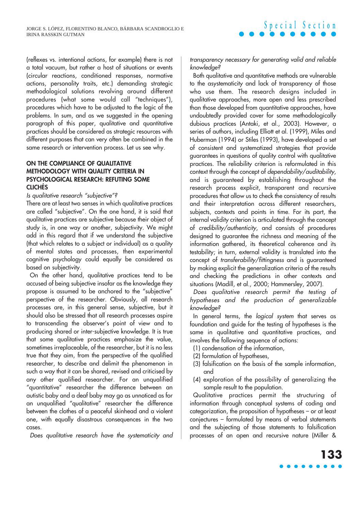(reflexes vs. intentional actions, for example) there is not a total vacuum, but rather a host of situations or events (circular reactions, conditioned responses, normative actions, personality traits, etc.) demanding strategic methodological solutions revolving around different procedures (what some would call "techniques"), procedures which have to be adjusted to the logic of the problems. In sum, and as we suggested in the opening paragraph of this paper, qualitative and quantitative practices should be considered as strategic resources with different purposes that can very often be combined in the same research or intervention process. Let us see why.

### **ON THE COMPLIANCE OF QUALITATIVE METHODOLOGY WITH QUALITY CRITERIA IN PSYCHOLOGICAL RESEARCH: REFUTING SOME CLICHÉS**

Is qualitative research "subjective"?

There are at least two senses in which qualitative practices are called "subjective". On the one hand, it is said that qualitative practices are subjective because their object of study is, in one way or another, subjectivity. We might add in this regard that if we understand the subjective (that which relates to a subject or individual) as a quality of mental states and processes, then experimental cognitive psychology could equally be considered as based on subjectivity.

On the other hand, qualitative practices tend to be accused of being subjective insofar as the knowledge they propose is assumed to be anchored to the "subjective" perspective of the researcher. Obviously, all research processes are, in this general sense, subjective, but it should also be stressed that all research processes aspire to transcending the observer's point of view and to producing shared or inter-subjective knowledge. It is true that some qualitative practices emphasize the value, sometimes irreplaceable, of the researcher, but it is no less true that they aim, from the perspective of the qualified researcher, to describe and delimit the phenomenon in such a way that it can be shared, revised and criticised by any other qualified researcher. For an unqualified "quantitative" researcher the difference between an autistic baby and a deaf baby may go as unnoticed as for an unqualified "qualitative" researcher the difference between the clothes of a peaceful skinhead and a violent one, with equally disastrous consequences in the two cases.

Does qualitative research have the systematicity and

transparency necessary for generating valid and reliable knowledge?

**Special Section**

Both qualitative and quantitative methods are vulnerable to the asystematicity and lack of transparency of those who use them. The research designs included in qualitative approaches, more open and less prescribed than those developed from quantitative approaches, have undoubtedly provided cover for some methodologically dubious practices (Antaki, et al., 2003). However, a series of authors, including Elliott et al. (1999), Miles and Huberman (1994) or Stiles (1993), have developed a set of consistent and systematized strategies that provide guarantees in questions of quality control with qualitative practices. The reliability criterion is reformulated in this context through the concept of dependability/auditability, and is guaranteed by establishing throughout the research process explicit, transparent and recursive procedures that allow us to check the consistency of results and their interpretation across different researchers, subjects, contexts and points in time. For its part, the internal validity criterion is articulated through the concept of credibility/authenticity, and consists of procedures designed to guarantee the richness and meaning of the information gathered, its theoretical coherence and its testability; in turn, external validity is translated into the concept of transferability/fittingness and is guaranteed by making explicit the generalization criteria of the results and checking the predictions in other contexts and situations (Madill, et al., 2000; Hammersley, 2007).

Does qualitative research permit the testing of hypotheses and the production of generalizable knowledge?

In general terms, the logical system that serves as foundation and guide for the testing of hypotheses is the same in qualitative and quantitative practices, and involves the following sequence of actions:

- (1) condensation of the information,
- (2) formulation of hypotheses,
- (3) falsification on the basis of the sample information, and
- (4) exploration of the possibility of generalizing the sample result to the population.

Qualitative practices permit the structuring of information through conceptual systems of coding and categorization, the proposition of hypotheses – or at least conjectures – formulated by means of verbal statements and the subjecting of those statements to falsification processes of an open and recursive nature (Miller &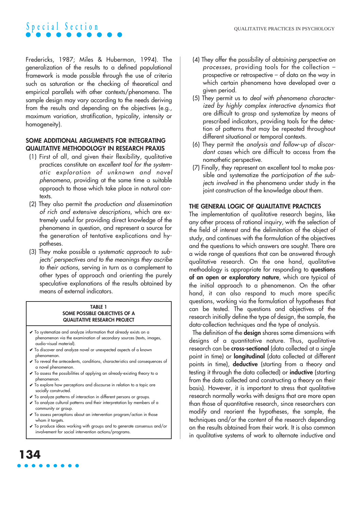Fredericks, 1987; Miles & Huberman, 1994). The generalization of the results to a defined populational framework is made possible through the use of criteria such as saturation or the checking of theoretical and empirical parallels with other contexts/phenomena. The sample design may vary according to the needs deriving from the results and depending on the objectives (e.g., maximum variation, stratification, typicality, intensity or homogeneity).

### **SOME ADDITIONAL ARGUMENTS FOR INTEGRATING QUALITATIVE METHODOLOGY IN RESEARCH PRAXIS**

- (1) First of all, and given their flexibility, qualitative practices constitute an excellent tool for the systematic exploration of unknown and novel <sup>p</sup>henomena, providing at the same time a suitable approach to those which take place in natural contexts.
- (2) They also permit the production and dissemination of rich and extensive descriptions, which are extremely useful for providing direct knowledge of the phenomena in question, and represent a source for the generation of tentative explications and hypotheses.
- (3) They make possible a systematic approach to subjects' perspectives and to the meanings they ascribe to their actions, serving in turn as a complement to other types of approach and orienting the purely speculative explanations of the results obtained by means of external indicators.

#### **TABLE 1 SOME POSSIBLE OBJECTIVES OF A QUALITATIVE RESEARCH PROJECT**

- ✔ To systematize and analyze information that already exists on a phenomenon via the examination of secondary sources (texts, images, audio-visual material).
- ✔ To discover and analyze novel or unexpected aspects of a known phenomenon.
- ✔ To reveal the antecedents, conditions, characteristics and consequences of a novel phenomenon.
- ✔ To assess the possibilities of applying an already-existing theory to a phenomenon.
- ✔ To explore how perceptions and discourse in relation to a topic are socially constructed.
- ✔ To analyze patterns of interaction in different persons or groups.
- ✔ To analyze cultural patterns and their interpretation by members of a community or group.
- $\checkmark$  To assess perceptions about an intervention program/action in those whom it targets.

**134**

✔ To produce ideas working with groups and to generate consensus and/or involvement for social intervention actions/programs.

- (4) They offer the possibility of obtaining perspective on processes, providing tools for the collection – prospective or retrospective – of data on the way in which certain phenomena have developed over a given period.
- (5) They permit us to deal with phenomena characterized by highly complex interactive dynamics that are difficult to grasp and systematize by means of prescribed indicators, providing tools for the detection of patterns that may be repeated throughout different situational or temporal contexts.
- (6) They permit the analysis and follow-up of discordant cases which are difficult to access from the nomothetic perspective.
- (7) Finally, they represent an excellent tool to make possible and systematize the participation of the subjects involved in the phenomena under study in the joint construction of the knowledge about them.

### **THE GENERAL LOGIC OF QUALITATIVE PRACTICES**

The implementation of qualitative research begins, like any other process of rational inquiry, with the selection of the field of interest and the delimitation of the object of study, and continues with the formulation of the objectives and the questions to which answers are sought. There are a wide range of questions that can be answered through qualitative research. On the one hand, qualitative methodology is appropriate for responding to **questions of an open or exploratory nature**, which are typical of the initial approach to a phenomenon. On the other hand, it can also respond to much more specific questions, working via the formulation of hypotheses that can be tested. The questions and objectives of the research initially define the type of design, the sample, the data-collection techniques and the type of analysis.

The definition of the **design** shares some dimensions with designs of a quantitative nature. Thus, qualitative research can be **cross-sectional** (data collected at a single point in time) or **longitudinal** (data collected at different points in time), **deductive** (starting from a theory and testing it through the data collected) or **inductive** (starting from the data collected and constructing a theory on their basis). However, it is important to stress that qualitative research normally works with designs that are more open than those of quantitative research, since researchers can modify and reorient the hypotheses, the sample, the techniques and/or the content of the research depending on the results obtained from their work. It is also common in qualitative systems of work to alternate inductive and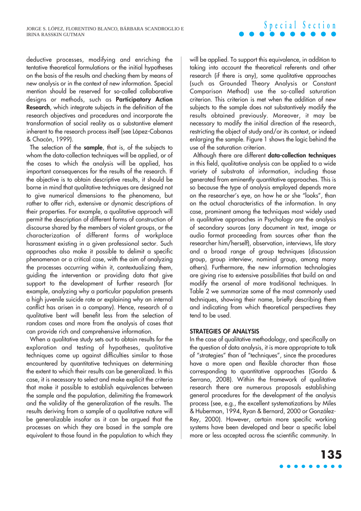deductive processes, modifying and enriching the tentative theoretical formulations or the initial hypotheses on the basis of the results and checking them by means of new analysis or in the context of new information. Special mention should be reserved for so-called collaborative designs or methods, such as **Participatory Action Research**, which integrate subjects in the definition of the research objectives and procedures and incorporate the transformation of social reality as a substantive element inherent to the research process itself (see López-Cabanas & Chacón, 1999).

The selection of the **sample**, that is, of the subjects to whom the data-collection techniques will be applied, or of the cases to which the analysis will be applied, has important consequences for the results of the research. If the objective is to obtain descriptive results, it should be borne in mind that qualitative techniques are designed not to give numerical dimensions to the phenomena, but rather to offer rich, extensive or dynamic descriptions of their properties. For example, a qualitative approach will permit the description of different forms of construction of discourse shared by the members of violent groups, or the characterization of different forms of workplace harassment existing in a given professional sector. Such approaches also make it possible to delimit a specific phenomenon or a critical case, with the aim of analyzing the processes occurring within it, contextualizing them, guiding the intervention or providing data that give support to the development of further research (for example, analyzing why a particular population presents a high juvenile suicide rate or explaining why an internal conflict has arisen in a company). Hence, research of a qualitative bent will benefit less from the selection of random cases and more from the analysis of cases that can provide rich and comprehensive information.

When a qualitative study sets out to obtain results for the exploration and testing of hypotheses, qualitative techniques come up against difficulties similar to those encountered by quantitative techniques on determining the extent to which their results can be generalized. In this case, it is necessary to select and make explicit the criteria that make it possible to establish equivalences between the sample and the population, delimiting the framework and the validity of the generalization of the results. The results deriving from a sample of a qualitative nature will be generalizable insofar as it can be argued that the processes on which they are based in the sample are equivalent to those found in the population to which they

will be applied. To support this equivalence, in addition to taking into account the theoretical referents and other research (if there is any), some qualitative approaches (such as Grounded Theory Analysis or Constant Comparison Method) use the so-called saturation criterion. This criterion is met when the addition of new subjects to the sample does not substantively modify the results obtained previously. Moreover, it may be necessary to modify the initial direction of the research, restricting the object of study and/or its context, or indeed enlarging the sample. Figure 1 shows the logic behind the use of the saturation criterion.

**Special Section**

Although there are different **data-collection techniques** in this field, qualitative analysis can be applied to a wide variety of substrata of information, including those generated from eminently quantitative approaches. This is so because the type of analysis employed depends more on the researcher's eye, on how he or she "looks", than on the actual characteristics of the information. In any case, prominent among the techniques most widely used in qualitative approaches in Psychology are the analysis of secondary sources (any document in text, image or audio format proceeding from sources other than the researcher him/herself), observation, interviews, life story and a broad range of group techniques (discussion group, group interview, nominal group, among many others). Furthermore, the new information technologies are giving rise to extensive possibilities that build on and modify the arsenal of more traditional techniques. In Table 2 we summarize some of the most commonly used techniques, showing their name, briefly describing them and indicating from which theoretical perspectives they tend to be used.

### **STRATEGIES OF ANALYSIS**

In the case of qualitative methodology, and specifically on the question of data analysis, it is more appropriate to talk of "strategies" than of "techniques", since the procedures have a more open and flexible character than those corresponding to quantitative approaches (Gordo & Serrano, 2008). Within the framework of qualitative research there are numerous proposals establishing general procedures for the development of the analysis process (see, e.g., the excellent systematizations by Miles & Huberman, 1994, Ryan & Bernard, 2000 or González-Rey, 2000). However, certain more specific working systems have been developed and bear a specific label more or less accepted across the scientific community. In

### **135**  $\bullet\bullet\bullet\bullet\bullet$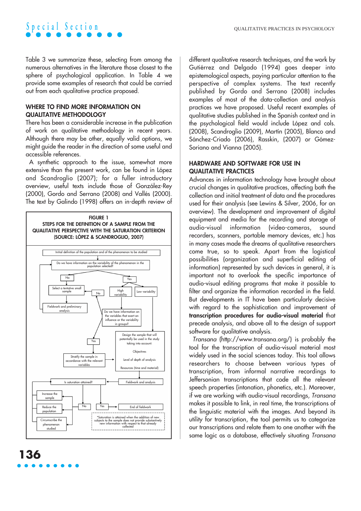Table 3 we summarize these, selecting from among the numerous alternatives in the literature those closest to the sphere of psychological application. In Table 4 we provide some examples of research that could be carried out from each qualitative practice proposed.

### **WHERE TO FIND MORE INFORMATION ON QUALITATIVE METHODOLOGY**

There has been a considerable increase in the publication of work on qualitative methodology in recent years. Although there may be other, equally valid options, we might guide the reader in the direction of some useful and accessible references.

A synthetic approach to the issue, somewhat more extensive than the present work, can be found in López and Scandroglio (2007); for a fuller introductory overview, useful texts include those of González-Rey (2000), Gordo and Serrano (2008) and Vallés (2000). The text by Galindo (1998) offers an in-depth review of



**136**

different qualitative research techniques, and the work by Gutiérrez and Delgado (1994) goes deeper into epistemological aspects, paying particular attention to the perspective of complex systems. The text recently published by Gordo and Serrano (2008) includes examples of most of the data-collection and analysis practices we have proposed. Useful recent examples of qualitative studies published in the Spanish context and in the psychological field would include López and cols. (2008), Scandroglio (2009), Martín (2005), Blanco and Sánchez-Criado (2006), Rasskin, (2007) or Gómez-Soriano and Vianna (2005).

### **HARDWARE AND SOFTWARE FOR USE IN QUALITATIVE PRACTICES**

Advances in information technology have brought about crucial changes in qualitative practices, affecting both the collection and initial treatment of data and the procedures used for their analysis (see Lewins & Silver, 2006, for an overview). The development and improvement of digital equipment and media for the recording and storage of audio-visual information (video-cameras, sound recorders, scanners, portable memory devices, etc.) has in many cases made the dreams of qualitative researchers come true, so to speak. Apart from the logistical possibilities (organization and superficial editing of information) represented by such devices in general, it is important not to overlook the specific importance of audio-visual editing programs that make it possible to filter and organize the information recorded in the field. But developments in IT have been particularly decisive with regard to the sophistication and improvement of **transcription procedures for audio-visual material** that precede analysis, and above all to the design of support software for qualitative analysis.

Transana (http://www.transana.org/) is probably the tool for the transcription of audio-visual material most widely used in the social sciences today. This tool allows researchers to choose between various types of transcription, from informal narrative recordings to Jeffersonian transcriptions that code all the relevant speech properties (intonation, phonetics, etc.). Moreover, if we are working with audio-visual recordings, Transana makes it possible to link, in real time, the transcriptions of the linguistic material with the images. And beyond its utility for transcription, the tool permits us to categorize our transcriptions and relate them to one another with the same logic as a database, effectively situating Transana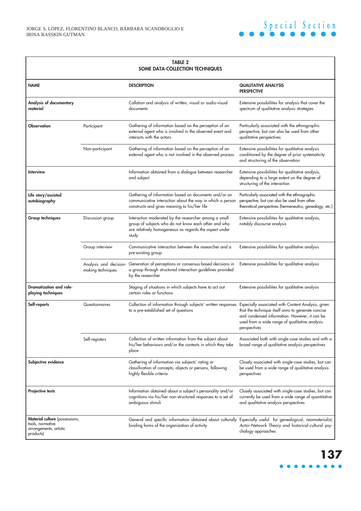| <b>TABLE 2</b><br>SOME DATA-COLLECTION TECHNIQUES                                                |                   |                                                                                                                                                                                  |                                                                                                                                                                                                                             |  |
|--------------------------------------------------------------------------------------------------|-------------------|----------------------------------------------------------------------------------------------------------------------------------------------------------------------------------|-----------------------------------------------------------------------------------------------------------------------------------------------------------------------------------------------------------------------------|--|
| <b>NAME</b>                                                                                      |                   | <b>DESCRIPTION</b>                                                                                                                                                               | <b>QUALITATIVE ANALYSIS</b><br><b>PERSPECTIVE</b>                                                                                                                                                                           |  |
| Analysis of documentary<br>material                                                              |                   | Collation and analysis of written, visual or audio-visual<br>documents                                                                                                           | Extensive possibilities for analysis that cover the<br>spectrum of qualitative analysis strategies                                                                                                                          |  |
| <b>Observation</b>                                                                               | Participant       | Gathering of information based on the perception of an<br>external agent who is involved in the observed event and<br>interacts with the actors                                  | Particularly associated with the ethnographic<br>perspective, but can also be used from other<br>qualitative perspectives                                                                                                   |  |
|                                                                                                  | Non-participant   | Gathering of information based on the perception of an<br>external agent who is not involved in the observed process                                                             | Extensive possibilities for qualitative analysis<br>conditioned by the degree of prior systematicity<br>and structuring of the observation                                                                                  |  |
| Interview                                                                                        |                   | Information obtained from a dialogue between researcher<br>and subject                                                                                                           | Extensive possibilities for qualitative analysis,<br>depending to a large extent on the degree of<br>structuring of the interaction                                                                                         |  |
| Life story/assisted<br>autobiography                                                             |                   | Gathering of information based on documents and/or on<br>communicative interaction about the way in which a person<br>constructs and gives meaning to his/her life               | Particularly associated with the ethnographic<br>perspective, but can also be used from other<br>theoretical perspectives (hermeneutics, genealogy, etc.)                                                                   |  |
| Group techniques                                                                                 | Discussion group  | Interaction moderated by the researcher among a small<br>group of subjects who do not know each other and who<br>are relatively homogeneous as regards the aspect under<br>study | Extensive possibilities for qualitative analysis,<br>notably discourse analysis                                                                                                                                             |  |
|                                                                                                  | Group interview   | Communicative interaction between the researcher and a<br>pre-existing group                                                                                                     | Extensive possibilities for qualitative analysis                                                                                                                                                                            |  |
|                                                                                                  | making techniques | Analysis and decision- Generation of perceptions or consensus-based decisions in<br>a group through structured interaction guidelines provided<br>by the researcher              | Extensive possibilities for qualitative analysis                                                                                                                                                                            |  |
| <b>Dramatization and role-</b><br>playing techniques                                             |                   | Staging of situations in which subjects have to act out<br>certain roles or functions                                                                                            | Extensive possibilities for qualitative analysis                                                                                                                                                                            |  |
| Self-reports                                                                                     | Questionnaires    | Collection of information through subjects' written responses<br>to a pre-established set of questions                                                                           | Especially associated with Content Analysis, given<br>that the technique itself aims to generate concise<br>and condensed information. However, it can be<br>used from a wide range of qualitative analysis<br>perspectives |  |
|                                                                                                  | Self-registers    | Collection of written information from the subject about<br>his/her behaviours and/or the contexts in which they take<br>place                                                   | Associated both with single-case studies and with a<br>broad range of qualitative analysis perspectives                                                                                                                     |  |
| Subjective evidence                                                                              |                   | Gathering of information via subjects' rating or<br>classification of concepts, objects or persons, following<br>highly flexible criteria                                        | Closely associated with single-case studies, but can<br>be used from a wide range of qualitative analysis<br>perspectives                                                                                                   |  |
| Projective tests                                                                                 |                   | Information obtained about a subject's personality and/or<br>cognitions via his/her non-structured responses to a set of<br>ambiguous stimuli                                    | Closely associated with single-case studies, but can<br>currently be used from a wide range of quantitative<br>and qualitative analysis perspectives                                                                        |  |
| <b>Material culture</b> (possessions,<br>tools, normative<br>arrangements, artistic<br>products) |                   | General and specific information obtained about culturally Especially useful for genealogical, neomaterialist,<br>binding forms of the organization of activity                  | Actor-Network Theory and historical-cultural psy-<br>chology approaches                                                                                                                                                     |  |

## **137** . . . . .

**Special Section**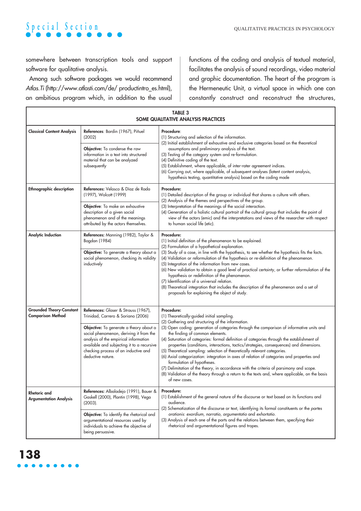somewhere between transcription tools and support software for qualitative analysis.

Among such software packages we would recommend Atlas.Ti (http://www.atlasti.com/de/ productintro\_es.html), an ambitious program which, in addition to the usual

functions of the coding and analysis of textual material, facilitates the analysis of sound recordings, video material and graphic documentation. The heart of the program is the Hermeneutic Unit, a virtual space in which one can constantly construct and reconstruct the structures,

| <b>TABLE 3</b><br>SOME QUALITATIVE ANALYSIS PRACTICES       |                                                                                                                                                                                                                                                                                                                      |                                                                                                                                                                                                                                                                                                                                                                                                                                                                                                                                                                                                                                                                                                                                                                                                                                                               |  |  |  |
|-------------------------------------------------------------|----------------------------------------------------------------------------------------------------------------------------------------------------------------------------------------------------------------------------------------------------------------------------------------------------------------------|---------------------------------------------------------------------------------------------------------------------------------------------------------------------------------------------------------------------------------------------------------------------------------------------------------------------------------------------------------------------------------------------------------------------------------------------------------------------------------------------------------------------------------------------------------------------------------------------------------------------------------------------------------------------------------------------------------------------------------------------------------------------------------------------------------------------------------------------------------------|--|--|--|
| <b>Classical Content Analysis</b>                           | References: Bardin (1967), Piñuel<br>(2002)                                                                                                                                                                                                                                                                          | Procedure:<br>(1) Structuring and selection of the information.<br>(2) Initial establishment of exhaustive and exclusive categories based on the theoretical                                                                                                                                                                                                                                                                                                                                                                                                                                                                                                                                                                                                                                                                                                  |  |  |  |
|                                                             | Objective: To condense the raw<br>information in a text into structured<br>material that can be analyzed<br>subsequently                                                                                                                                                                                             | assumptions and preliminary analysis of the text.<br>(3) Testing of the category system and re-formulation.<br>(4) Definitive coding of the text.<br>(5) Establishment, where applicable, of inter-rater agreement indices.<br>(6) Carrying out, where applicable, of subsequent analyses (latent content analysis,<br>hypothesis testing, quantitative analysis) based on the coding made                                                                                                                                                                                                                                                                                                                                                                                                                                                                    |  |  |  |
| <b>Ethnographic description</b>                             | References: Velasco & Díaz de Rada<br>(1997), Wolcott (1999)                                                                                                                                                                                                                                                         | Procedure:<br>(1) Detailed description of the group or individual that shares a culture with others.<br>(2) Analysis of the themes and perspectives of the group.                                                                                                                                                                                                                                                                                                                                                                                                                                                                                                                                                                                                                                                                                             |  |  |  |
|                                                             | Objective: To make an exhaustive<br>description of a given social<br>phenomenon and of the meanings<br>attributed by the actors themselves.                                                                                                                                                                          | (3) Interpretation of the meanings of the social interaction.<br>(4) Generation of a holistic cultural portrait of the cultural group that includes the point of<br>view of the actors (emic) and the interpretations and views of the researcher with respect<br>to human social life (etic).                                                                                                                                                                                                                                                                                                                                                                                                                                                                                                                                                                |  |  |  |
| <b>Analytic Induction</b>                                   | References: Manning (1982), Taylor &<br>Bogdan (1984)<br>Objective: To generate a theory about a<br>social phenomenon, checking its validity<br>inductively                                                                                                                                                          | Procedure:<br>(1) Initial definition of the phenomenon to be explained.<br>(2) Formulation of a hypothetical explanation.<br>(3) Study of a case, in line with the hypothesis, to see whether the hypothesis fits the facts.<br>(4) Validation or reformulation of the hypothesis or re-definition of the phenomenon.<br>(5) Integration of the information from new cases.<br>(6) New validation to obtain a good level of practical certainty, or further reformulation of the<br>hypothesis or redefinition of the phenomenon.<br>(7) Identification of a universal relation.<br>(8) Theoretical integration that includes the description of the phenomenon and a set of<br>proposals for explaining the object of study.                                                                                                                                 |  |  |  |
| <b>Grounded Theory-Constant</b><br><b>Comparison Method</b> | References: Glaser & Strauss (1967),<br>Trinidad, Carrero & Soriano (2006)<br>Objective: To generate a theory about a<br>social phenomenon, deriving it from the<br>analysis of the empirical information<br>available and subjecting it to a recursive<br>checking process of an inductive and<br>deductive nature. | Procedure:<br>(1) Theoretically-guided initial sampling.<br>(2) Gathering and structuring of the information.<br>(3) Open coding: generation of categories through the comparison of informative units and<br>the finding of common elements.<br>(4) Saturation of categories: formal definition of categories through the establishment of<br>properties (conditions, interactions, tactics/strategies, consequences) and dimensions.<br>(5) Theoretical sampling: selection of theoretically relevant categories.<br>(6) Axial categorization: integration in axes of relation of categories and properties and<br>formulation of hypotheses.<br>(7) Delimitation of the theory, in accordance with the criteria of parsimony and scope.<br>(8) Validation of the theory through a return to the texts and, where applicable, on the basis<br>of new cases. |  |  |  |
| <b>Rhetoric</b> and<br><b>Argumentation Analysis</b>        | References: Albaladejo (1991), Bauer &<br>Gaskell (2000), Plantin (1998), Vega<br>$(2003)$ .<br>Objective: To identify the rhetorical and                                                                                                                                                                            | <b>Procedure:</b><br>(1) Establishment of the general nature of the discourse or text based on its functions and<br>audience.<br>(2) Schematization of the discourse or text, identifying its formal constituents or the partes<br>orationis: exordium, narratio, argumentatio and exhortatio.                                                                                                                                                                                                                                                                                                                                                                                                                                                                                                                                                                |  |  |  |
|                                                             | argumentational resources used by<br>individuals to achieve the objective of<br>being persuasive.                                                                                                                                                                                                                    | (3) Analysis of each one of the parts and the relations between them, specifying their<br>rhetorical and argumentational figures and tropes.                                                                                                                                                                                                                                                                                                                                                                                                                                                                                                                                                                                                                                                                                                                  |  |  |  |

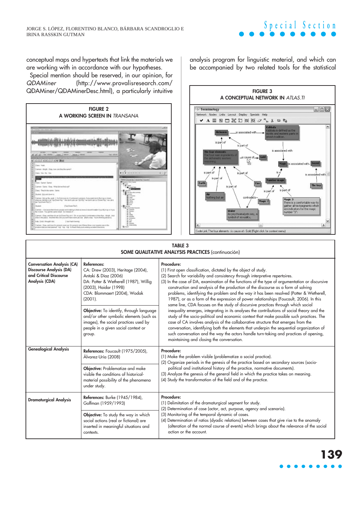### conceptual maps and hypertexts that link the materials we are working with in accordance with our hypotheses.

Special mention should be reserved, in our opinion, for QDAMiner (http://www.provalisresearch.com/ QDAMiner/QDAMinerDesc.html), a particularly intuitive



analysis program for linguistic material, and which can be accompanied by two related tools for the statistical

**Special Section**



#### **TABLE 3 SOME QUALITATIVE ANALYSIS PRACTICES** (continuación)

| <b>Conversation Analysis (CA)</b><br><b>Discourse Analysis (DA)</b><br>and Critical Discourse<br>Analysis (CDA) | <b>References:</b><br>CA: Drew (2003), Heritage (2004),<br>Antaki & Díaz (2006)<br>DA: Potter & Wetherell (1987), Willig<br>(2003), Haidar (1998)<br>CDA: Blommaert (2004), Wodak<br>(2001).<br>Objective: To identify, through language | Procedure:<br>(1) First open classification, dictated by the object of study.<br>(2) Search for variability and consistency through interpretive repertoires.<br>(3) In the case of DA, examination of the functions of the type of argumentation or discursive<br>construction and analysis of the production of the discourse as a form of solving<br>problems, identifying the problem and the way it has been resolved (Potter & Wetherell,<br>1987), or as a form of the expression of power relationships (Foucault, 2006). In this<br>same line, CDA focuses on the study of discursive practices through which social<br>inequality emerges, integrating in its analyses the contributions of social theory and the |  |
|-----------------------------------------------------------------------------------------------------------------|------------------------------------------------------------------------------------------------------------------------------------------------------------------------------------------------------------------------------------------|-----------------------------------------------------------------------------------------------------------------------------------------------------------------------------------------------------------------------------------------------------------------------------------------------------------------------------------------------------------------------------------------------------------------------------------------------------------------------------------------------------------------------------------------------------------------------------------------------------------------------------------------------------------------------------------------------------------------------------|--|
|                                                                                                                 | and/or other symbolic elements (such as<br>images), the social practices used by<br>people in a given social context or<br>group.                                                                                                        | study of the socio-political and economic context that make possible such practices. The<br>case of CA involves analysis of the collaborative structure that emerges from the<br>conversation, identifying both the elements that underpin the sequential organization of<br>such conversation and the way the actors handle turn-taking and practices of opening,<br>maintaining and closing the conversation.                                                                                                                                                                                                                                                                                                             |  |
| <b>Genealogical Analysis</b>                                                                                    | References: Foucault (1975/2005),<br>Álvarez-Uría (2008)                                                                                                                                                                                 | Procedure:<br>(1) Make the problem visible (problematize a social practice).<br>(2) Organize periods in the genesis of the practice based on secondary sources (socio-                                                                                                                                                                                                                                                                                                                                                                                                                                                                                                                                                      |  |
|                                                                                                                 | Objective: Problematize and make<br>visible the conditions of historical-<br>material possibility of the phenomena<br>under study.                                                                                                       | political and institutional history of the practice, normative documents).<br>(3) Analyze the genesis of the general field in which the practice takes on meaning.<br>(4) Study the transformation of the field and of the practice.                                                                                                                                                                                                                                                                                                                                                                                                                                                                                        |  |
| <b>Dramaturgical Analysis</b>                                                                                   | References: Burke (1945/1984),<br>Goffman (1959/1993)                                                                                                                                                                                    | Procedure:<br>(1) Delimitation of the dramaturgical segment for study.<br>(2) Determination of case (actor, act, purpose, agency and scenario).                                                                                                                                                                                                                                                                                                                                                                                                                                                                                                                                                                             |  |
|                                                                                                                 | Objective: To study the way in which<br>social actions (real or fictional) are<br>inserted in meaningful situations and<br>contexts.                                                                                                     | (3) Monitoring of the temporal dynamic of cases.<br>(4) Determination of ratios (dyadic relations) between cases that give rise to the anomaly<br>(alteration of the normal course of events) which brings about the relevance of the social<br>action or the account.                                                                                                                                                                                                                                                                                                                                                                                                                                                      |  |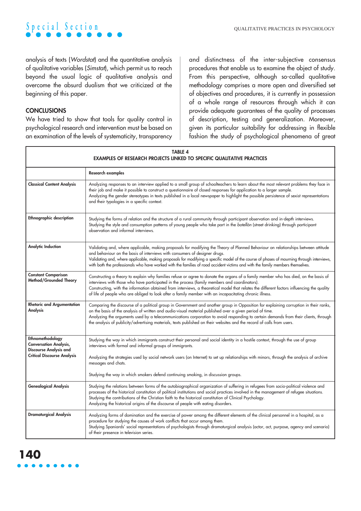

analysis of texts (Wordstat) and the quantitative analysis of qualitative variables (Simstat), which permit us to reach beyond the usual logic of qualitative analysis and overcome the absurd dualism that we criticized at the beginning of this paper.

### **CONCLUSIONS**

We have tried to show that tools for quality control in psychological research and intervention must be based on an examination of the levels of systematicity, transparency and distinctness of the inter-subjective consensus procedures that enable us to examine the object of study. From this perspective, although so-called qualitative methodology comprises a more open and diversified set of objectives and procedures, it is currently in possession of a whole range of resources through which it can provide adequate guarantees of the quality of processes of description, testing and generalization. Moreover, given its particular suitability for addressing in flexible fashion the study of psychological phenomena of great

| <b>TABLE 4</b><br>EXAMPLES OF RESEARCH PROJECTS LINKED TO SPECIFIC QUALITATIVE PRACTICES                                 |                                                                                                                                                                                                                                                                                                                                                                                                                                                                                                                   |  |  |
|--------------------------------------------------------------------------------------------------------------------------|-------------------------------------------------------------------------------------------------------------------------------------------------------------------------------------------------------------------------------------------------------------------------------------------------------------------------------------------------------------------------------------------------------------------------------------------------------------------------------------------------------------------|--|--|
|                                                                                                                          | <b>Research examples</b>                                                                                                                                                                                                                                                                                                                                                                                                                                                                                          |  |  |
| <b>Classical Content Analysis</b>                                                                                        | Analyzing responses to an interview applied to a small group of schoolteachers to learn about the most relevant problems they face in<br>their job and make it possible to construct a questionnaire of closed responses for application to a larger sample.<br>Analyzing the gender stereotypes in texts published in a local newspaper to highlight the possible persistence of sexist representations<br>and their typologies in a specific context.                                                           |  |  |
| <b>Ethnographic description</b>                                                                                          | Studying the forms of relation and the structure of a rural community through participant observation and in-depth interviews.<br>Studying the style and consumption patterns of young people who take part in the botellón (street drinking) through participant<br>observation and informal interviews.                                                                                                                                                                                                         |  |  |
| <b>Analytic Induction</b>                                                                                                | Validating and, where applicable, making proposals for modifying the Theory of Planned Behaviour on relationships between attitude<br>and behaviour on the basis of interviews with consumers of designer drugs.<br>Validating and, where applicable, making proposals for modifying a specific model of the course of phases of mourning through interviews,<br>with both the professionals who have worked with the families of road accident victims and with the family members themselves.                   |  |  |
| <b>Constant Comparison</b><br>Method/Grounded Theory                                                                     | Constructing a theory to explain why families refuse or agree to donate the organs of a family member who has died, on the basis of<br>interviews with those who have participated in the process (family members and coordinators).<br>Constructing, with the information obtained from interviews, a theoretical model that relates the different factors influencing the quality<br>of life of people who are obliged to look after a family member with an incapacitating chronic illness.                    |  |  |
| <b>Rhetoric and Argumentation</b><br>Analysis                                                                            | Comparing the discourse of a political group in Government and another group in Opposition for explaining corruption in their ranks,<br>on the basis of the analysis of written and audio-visual material published over a given period of time.<br>Analyzing the arguments used by a telecommunications corporation to avoid responding to certain demands from their clients, through<br>the analysis of publicity/advertising materials, texts published on their websites and the record of calls from users. |  |  |
| Ethnomethodology<br><b>Conversation Analysis,</b><br><b>Discourse Analysis and</b><br><b>Critical Discourse Analysis</b> | Studying the way in which immigrants construct their personal and social identity in a hostile context, through the use of group<br>interviews with formal and informal groups of immigrants.<br>Analyzing the strategies used by social network users (on Internet) to set up relationships with minors, through the analysis of archive<br>messages and chats.                                                                                                                                                  |  |  |
|                                                                                                                          | Studying the way in which smokers defend continuing smoking, in discussion groups.                                                                                                                                                                                                                                                                                                                                                                                                                                |  |  |
| <b>Genealogical Analysis</b>                                                                                             | Studying the relations between forms of the autobiographical organization of suffering in refugees from socio-political violence and<br>processes of the historical constitution of political institutions and social practices involved in the management of refugee situations.<br>Studying the contributions of the Christian faith to the historical constitution of Clinical Psychology.<br>Analyzing the historical origins of the discourse of people with eating disorders.                               |  |  |
| <b>Dramaturgical Analysis</b>                                                                                            | Analyzing forms of domination and the exercise of power among the different elements of the clinical personnel in a hospital, as a<br>procedure for studying the causes of work conflicts that occur among them.<br>Studying Spaniards' social representations of psychologists through dramaturgical analysis (actor, act, purpose, agency and scenario)<br>of their presence in television series.                                                                                                              |  |  |

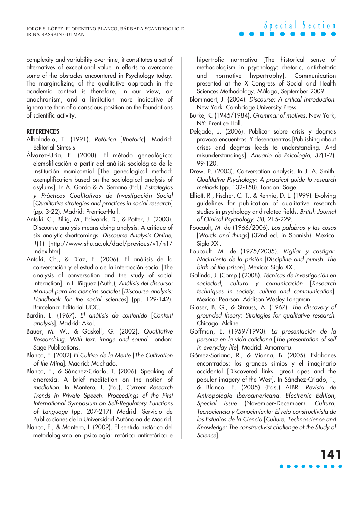complexity and variability over time, it constitutes a set of alternatives of exceptional value in efforts to overcome some of the obstacles encountered in Psychology today. The marginalizing of the qualitative approach in the academic context is therefore, in our view, an anachronism, and a limitation more indicative of ignorance than of a conscious position on the foundations of scientific activity.

### **REFERENCES**

- Albaladejo, T. (1991). Retórica [Rhetoric]. Madrid: Editorial Síntesis
- Álvarez-Uría, F. (2008). El método genealógico: ejemplificación a partir del análisis sociológico de la institución manicomial [The genealogical method: exemplification based on the sociological analysis of asylums]. In Á. Gordo & A. Serrano (Ed.), Estrategias <sup>y</sup>Prácticas Cualitativas de Investigación Social [Qualitative strategies and practices in social research] (pp. 3-22). Madrid: Prentice-Hall.
- Antaki, C., Billig, M., Edwards, D., & Potter, J. (2003). Discourse analysis means doing analysis: A critique of six analytic shortcomings. Discourse Analysis Online, 1(1) [http://www.shu.ac.uk/daol/previous/v1/n1/ index.htm]
- Antaki, Ch., & Díaz, F. (2006). El análisis de la conversación y el estudio de la interacción social [The analysis of conversation and the study of social interaction]. In L. Iñíguez (Auth.), Análisis del discurso: Manual para las ciencias sociales [Discourse analysis: Handbook for the social sciences] (pp. 129-142). Barcelona: Editorial UOC.
- Bardin, L. (1967). El análisis de contenido [Content analysis]. Madrid: Akal.
- Bauer, M. W., & Gaskell, G. (2002). Qualitative Researching. With text, image and sound. London: Sage Publications.
- Blanco, F. (2002) El Cultivo de la Mente [The Cultivation of the Mind]. Madrid: Machado.
- Blanco, F., & Sánchez-Criado, T. (2006). Speaking of anorexia: A brief meditation on the notion of mediation. In Montero, I. (Ed.), Current Research Trends in Private Speech. Proceedings of the First International Symposium on Self-Regulatory Functions of Language (pp. 207-217). Madrid: Servicio de Publicaciones de la Universidad Autónoma de Madrid.
- Blanco, F., & Montero, I. (2009). El sentido histórico del metodologismo en psicología: retórica antiretórica e

hipertrofia normativa [The historical sense of methodologism in psychology: rhetoric, antirhetoric and normative hypertrophy]. Communication presented at the X Congress of Social and Health Sciences Methodology. Málaga, September 2009.

**Special Section**

- Blommaert, J. (2004). Discourse: A critical introduction. New York: Cambridge University Press.
- Burke, K. (1945/1984). Grammar of motives. New York, NY: Prentice Hall.
- Delgado, J. (2006). Publicar sobre crisis y dogmas provoca encuentros. Y desencuentros [Publishing about crises and dogmas leads to understanding. And misunderstandings]. Anuario de Psicología, 37(1-2), 99-120.
- Drew, P. (2003). Conversation analysis. In J. A. Smith, Qualitative Psychology: A practical guide to research methods (pp. 132-158). London: Sage.
- Elliott, R., Fischer, C. T., & Rennie, D. L. (1999). Evolving guidelines for publication of qualitative research studies in psychology and related fields. British Journal of Clinical Psychology, 38, 215-229.
- Foucault, M. de (1966/2006). Las palabras y las cosas [Words and things] (32nd ed. in Spanish). Mexico: Siglo XXI.
- Foucault, M. de (1975/2005). Vigilar y castigar. Nacimiento de la prisión [Discipline and punish. The birth of the prison]. Mexico: Siglo XXI.
- Galindo, J. (Comp.) (2008). Técnicas de investigación en sociedad, cultura y comunicación [Research techniques in society, culture and communication]. Mexico: Pearson. Addison Wesley Longman.
- Glaser, B. G., & Strauss, A. (1967). The discovery of grounded theory: Strategies for qualitative research. Chicago: Aldine.
- Goffman, E. (1959/1993). La presentación de la persona en la vida cotidiana [The presentation of self in everyday life]. Madrid: Amorrortu.
- Gómez-Soriano, R., & Vianna, B. (2005). Eslabones encontrados: los grandes simios y el imaginario occidental [Discovered links: great apes and the popular imagery of the West]. In Sánchez-Criado, T., & Blanco, F. (2005) (Eds.) AIBR: Revista de Antropología Iberoamericana. Electronic Edition, Special Issue (November-December). Cultura, Tecnociencia y Conocimiento: El reto constructivista de los Estudios de la Ciencia [Culture, Technoscience and Knowledge: The constructivist challenge of the Study of Science].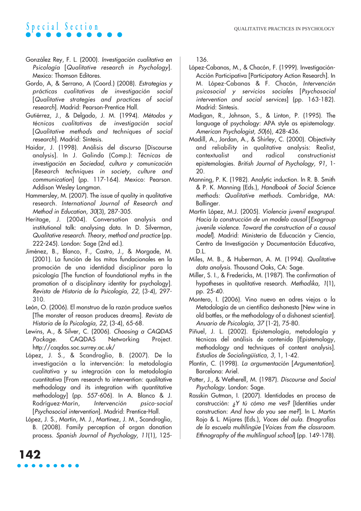- González Rey, F. L. (2000). Investigación cualitativa en Psicología [Qualitative research in Psychology]. Mexico: Thomson Editores.
- Gordo, A, & Serrano, A (Coord.) (2008). Estrategias y prácticas cualitativas de investigación social [Qualitative strategies and practices of social research]. Madrid: Pearson-Prentice Hall.
- Gutiérrez, J., & Delgado, J. M. (1994). Métodos y técnicas cualitativas de investigación social [Qualitative methods and techniques of social research]. Madrid: Síntesis.
- Haidar, J. (1998). Análisis del discurso [Discourse analysis]. In J. Galindo (Comp.): Técnicas de investigación en Sociedad, cultura y comunicación [Research techniques in society, culture and communication] (pp. 117-164). Mexico: Pearson. Addison Wesley Longman.
- Hammersley, M. (2007). The issue of quality in qualitative research. International Journal of Research and Method in Education, 30(3), 287-305.
- Heritage, J. (2004). Conversation analysis and institutional talk: analysing data. In D. Silverman, Qualitative research. Theory, method and practice (pp. 222-245). London: Sage (2nd ed.).
- Jiménez, B., Blanco, F., Castro, J., & Morgade, M. (2001). La función de los mitos fundacionales en la promoción de una identidad disciplinar para la psicología [The function of foundational myths in the promotion of a disciplinary identity for psychology]. Revista de Historia de la Psicología, 22, (3-4), 297- 310.
- León, O. (2006). El monstruo de la razón produce sueños [The monster of reason produces dreams]. Revista de Historia de la Psicología, 22, (3-4), 65-68.
- Lewins, A., & Silver, C. (2006). Choosing a CAQDAS Package. CAQDAS Networking Project. http://caqdas.soc.surrey.ac.uk/
- López, J. S., & Scandroglio, B. (2007). De la investigación a la intervención: la metodología cualitativa y su integración con la metodología cuantitativa [From research to intervention: qualitative methodology and its integration with quantitative methodology] (pp. 557-606). In A. Blanco & J. Rodríguez-Marín, Intervención psico-social [Psychosocial intervention]. Madrid: Prentice-Hall.
- López, J. S., Martín, M. J., Martínez, J. M., Scandroglio, B. (2008). Family perception of organ donation process. Spanish Journal of Psychology, 11(1), 125-

**142**

136.

- López-Cabanas, M., & Chacón, F. (1999). Investigación-Acción Participativa [Participatory Action Research]. In M. López-Cabanas & F. Chacón, Intervención psicosocial y servicios sociales [Psychosocial intervention and social services] (pp. 163-182). Madrid: Síntesis.
- Madigan, R., Johnson, S., & Linton, P. (1995). The language of psychology: APA style as epistemology. American Psychologist, 50(6), 428-436.
- Madill, A., Jordan, A., & Shirley, C. (2000). Objectivity and reliability in qualitative analysis: Realist, contextualist and radical constructionist epistemologies. British Journal of Psychology, 91, 1- 20.
- Manning, P. K. (1982). Analytic induction. In R. B. Smith & P. K. Manning (Eds.), Handbook of Social Science methods: Qualitative methods. Cambridge, MA: Ballinger.
- Martín López, M.J. (2005). Violencia juvenil exogrupal. Hacia la construcción de un modelo causal [Exogroup juvenile violence. Toward the construction of a causal model]. Madrid: Ministerio de Educación y Ciencia, Centro de Investigación y Documentación Educativa, D.L.
- Miles, M. B., & Huberman, A. M. (1994). Qualitative data analysis. Thousand Oaks, CA: Sage.
- Miller, S. I., & Fredericks, M. (1987). The confirmation of hypotheses in qualitative research. Methodika, 1(1), pp. 25-40.
- Montero, I. (2006). Vino nuevo en odres viejos o la Metodología de un científico deshonesto [New wine in old bottles, or the methodology of a dishonest scientist]. Anuario de Psicología, 37 (1-2), 75-80.
- Piñuel, J. L. (2002). Epistemología, metodología y técnicas del análisis de contenido [Epistemology, methodology and techniques of content analysis]. Estudios de Sociolingüística, 3, 1, 1-42.
- Plantin, C. (1998). La argumentación [Argumentation]. Barcelona: Ariel.
- Potter, J., & Wetherell, M. (1987). Discourse and Social Psychology. London: Sage.
- Rasskin Gutman, I. (2007). Identidades en proceso de construcción: ¿Y tú cómo me ves? [Identities under construction: And how do you see me?]. In L. Martin Rojo & L. Mijares (Eds.), Voces del aula. Etnografías de la escuela multilingüe [Voices from the classroom. Ethnography of the multilingual school (pp. 149-178).